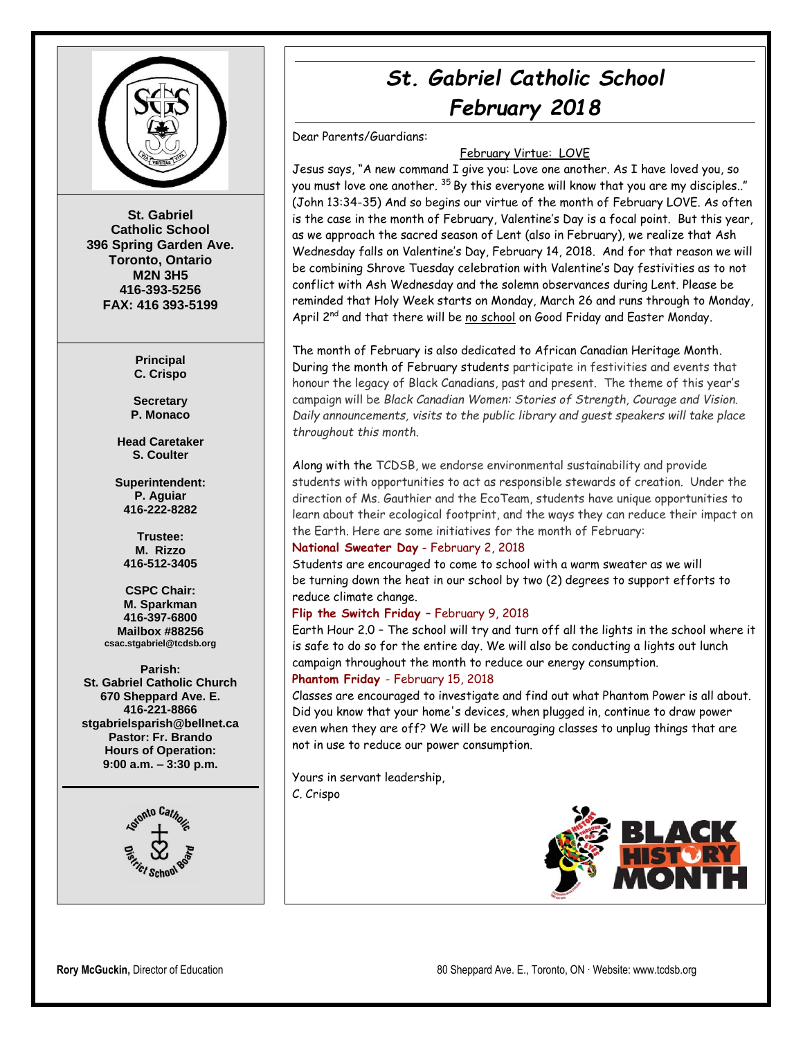

**St. Gabriel Catholic School 396 Spring Garden Ave. Toronto, Ontario M2N 3H5 416-393-5256 FAX: 416 393-5199**

> **Principal C. Crispo**

**Secretary P. Monaco**

**Head Caretaker S. Coulter**

**Superintendent: P. Aguiar 416-222-8282**

**Trustee: M. Rizzo 416-512-3405**

**CSPC Chair: M. Sparkman 416-397-6800 Mailbox #88256 csac.stgabriel@tcdsb.org**

**Parish: St. Gabriel Catholic Church 670 Sheppard Ave. E. 416-221-8866 stgabrielsparish@bellnet.ca Pastor: Fr. Brando Hours of Operation: 9:00 a.m. – 3:30 p.m.**



# *St. Gabriel Catholic School February 2018*

Dear Parents/Guardians:

#### February Virtue: LOVE

Jesus says, "A new command I give you: Love one another. As I have loved you, so you must love one another. <sup>35</sup> By this everyone will know that you are my disciples.." (John 13:34-35) And so begins our virtue of the month of February LOVE. As often is the case in the month of February, Valentine's Day is a focal point. But this year, as we approach the sacred season of Lent (also in February), we realize that Ash Wednesday falls on Valentine's Day, February 14, 2018. And for that reason we will be combining Shrove Tuesday celebration with Valentine's Day festivities as to not conflict with Ash Wednesday and the solemn observances during Lent. Please be reminded that Holy Week starts on Monday, March 26 and runs through to Monday, April 2<sup>nd</sup> and that there will be no school on Good Friday and Easter Monday.

The month of February is also dedicated to African Canadian Heritage Month. During the month of February students participate in festivities and events that honour the legacy of Black Canadians, past and present. The theme of this year's campaign will be *Black Canadian Women: Stories of Strength, Courage and Vision. Daily announcements, visits to the public library and guest speakers will take place throughout this month.*

Along with the TCDSB, we endorse environmental sustainability and provide students with opportunities to act as responsible stewards of creation. Under the direction of Ms. Gauthier and the EcoTeam, students have unique opportunities to learn about their ecological footprint, and the ways they can reduce their impact on the Earth. Here are some initiatives for the month of February:

#### **National Sweater Day** - February 2, 2018

Students are encouraged to come to school with a warm sweater as we will be turning down the heat in our school by two (2) degrees to support efforts to reduce climate change.

#### **Flip the Switch Friday** – February 9, 2018

Earth Hour 2.0 – The school will try and turn off all the lights in the school where it is safe to do so for the entire day. We will also be conducting a lights out lunch campaign throughout the month to reduce our energy consumption.

#### **Phantom Friday** - February 15, 2018

Classes are encouraged to investigate and find out what Phantom Power is all about. Did you know that your home's devices, when plugged in, continue to draw power even when they are off? We will be encouraging classes to unplug things that are not in use to reduce our power consumption.

Yours in servant leadership, C. Crispo

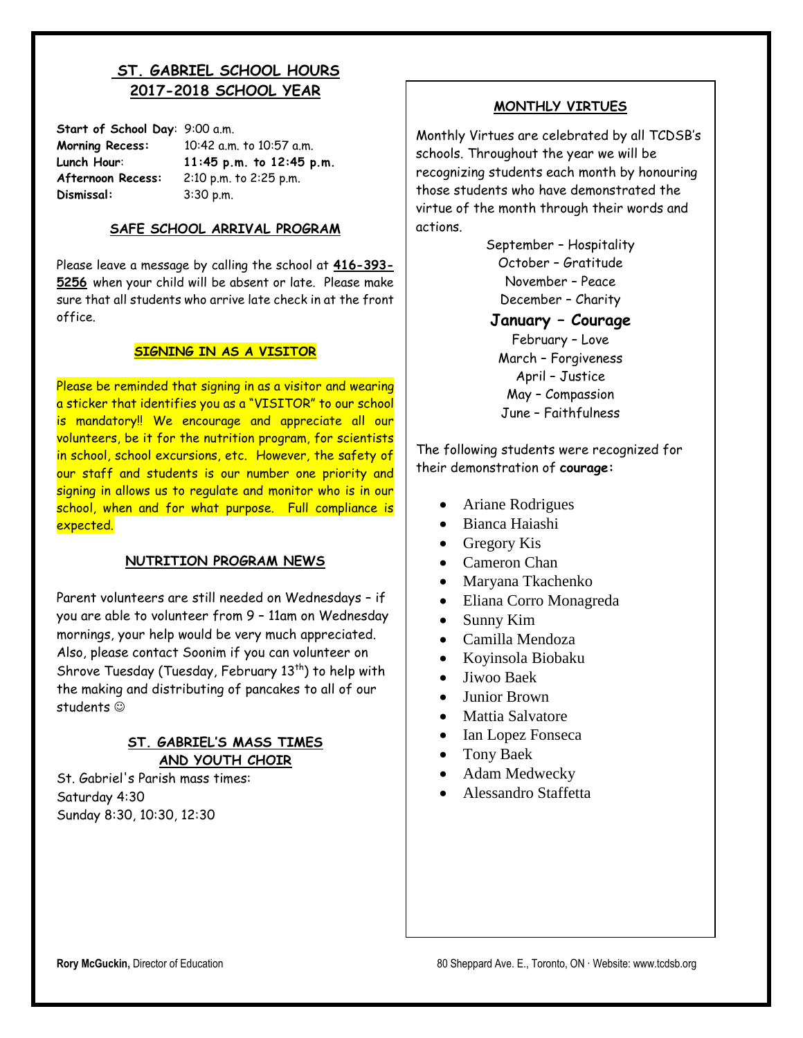# **ST. GABRIEL SCHOOL HOURS 2017-2018 SCHOOL YEAR**

| Start of School Day: 9:00 a.m. |                            |
|--------------------------------|----------------------------|
| <b>Morning Recess:</b>         | 10:42 a.m. to 10:57 a.m.   |
| Lunch Hour:                    | 11:45 p.m. to 12:45 p.m.   |
| Afternoon Recess:              | $2:10$ p.m. to $2:25$ p.m. |
| Dismissal:                     | 3:30 p.m.                  |

#### **SAFE SCHOOL ARRIVAL PROGRAM**

Please leave a message by calling the school at **416-393- 5256** when your child will be absent or late. Please make sure that all students who arrive late check in at the front office.

#### **SIGNING IN AS A VISITOR**

Please be reminded that signing in as a visitor and wearing a sticker that identifies you as a "VISITOR" to our school is mandatory!! We encourage and appreciate all our volunteers, be it for the nutrition program, for scientists in school, school excursions, etc. However, the safety of our staff and students is our number one priority and signing in allows us to regulate and monitor who is in our school, when and for what purpose. Full compliance is expected.

#### **NUTRITION PROGRAM NEWS**

Parent volunteers are still needed on Wednesdays – if you are able to volunteer from 9 – 11am on Wednesday mornings, your help would be very much appreciated. Also, please contact Soonim if you can volunteer on Shrove Tuesday (Tuesday, February  $13<sup>th</sup>$ ) to help with the making and distributing of pancakes to all of our students  $\odot$ 

### **ST. GABRIEL'S MASS TIMES AND YOUTH CHOIR**

St. Gabriel's Parish mass times: Saturday 4:30 Sunday 8:30, 10:30, 12:30

#### **MONTHLY VIRTUES**

Monthly Virtues are celebrated by all TCDSB's schools. Throughout the year we will be recognizing students each month by honouring those students who have demonstrated the virtue of the month through their words and actions.

> September – Hospitality October – Gratitude November – Peace December – Charity **January – Courage** February – Love March – Forgiveness April – Justice May – Compassion June – Faithfulness

The following students were recognized for their demonstration of **courage:**

- Ariane Rodrigues
- Bianca Haiashi
- Gregory Kis
- Cameron Chan
- Maryana Tkachenko
- Eliana Corro Monagreda
- Sunny Kim
- Camilla Mendoza
- Koyinsola Biobaku
- Jiwoo Baek
- Iunior Brown
- Mattia Salvatore
- Ian Lopez Fonseca
- Tony Baek
- Adam Medwecky
- Alessandro Staffetta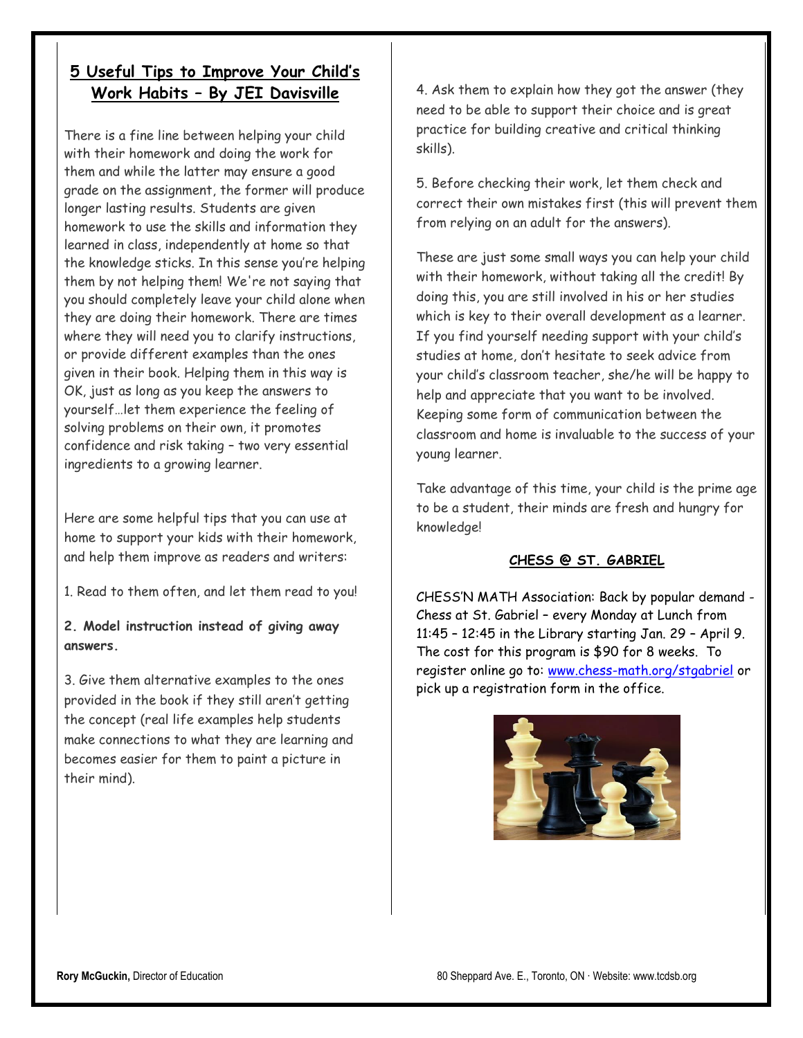# **5 Useful Tips to Improve Your Child's Work Habits – By JEI Davisville**

There is a fine line between helping your child with their homework and doing the work for them and while the latter may ensure a good grade on the assignment, the former will produce longer lasting results. Students are given homework to use the skills and information they learned in class, independently at home so that the knowledge sticks. In this sense you're helping them by not helping them! We're not saying that you should completely leave your child alone when they are doing their homework. There are times where they will need you to clarify instructions, or provide different examples than the ones given in their book. Helping them in this way is OK, just as long as you keep the answers to yourself…let them experience the feeling of solving problems on their own, it promotes confidence and risk taking – two very essential ingredients to a growing learner.

Here are some helpful tips that you can use at home to support your kids with their homework, and help them improve as readers and writers:

1. Read to them often, and let them read to you!

## **2. Model instruction instead of giving away answers.**

3. Give them alternative examples to the ones provided in the book if they still aren't getting the concept (real life examples help students make connections to what they are learning and becomes easier for them to paint a picture in their mind).

4. Ask them to explain how they got the answer (they need to be able to support their choice and is great practice for building creative and critical thinking skills).

5. Before checking their work, let them check and correct their own mistakes first (this will prevent them from relying on an adult for the answers).

These are just some small ways you can help your child with their homework, without taking all the credit! By doing this, you are still involved in his or her studies which is key to their overall development as a learner. If you find yourself needing support with your child's studies at home, don't hesitate to seek advice from your child's classroom teacher, she/he will be happy to help and appreciate that you want to be involved. Keeping some form of communication between the classroom and home is invaluable to the success of your young learner.

Take advantage of this time, your child is the prime age to be a student, their minds are fresh and hungry for knowledge!

## **CHESS @ ST. GABRIEL**

CHESS'N MATH Association: Back by popular demand - Chess at St. Gabriel – every Monday at Lunch from 11:45 – 12:45 in the Library starting Jan. 29 – April 9. The cost for this program is \$90 for 8 weeks. To register online go to: [www.chess-math.org/stgabriel](http://www.chess-math.org/stgabriel) or pick up a registration form in the office.